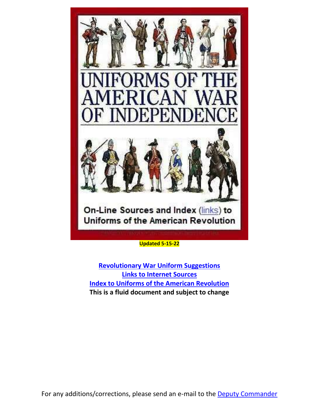

<span id="page-0-0"></span>**[Revolutionary War Uniform Suggestions](#page-0-0) [Links to Internet Sources](#page-1-0) [Index to Uniforms of the American Revolution](#page-3-0) This is a fluid document and subject to change**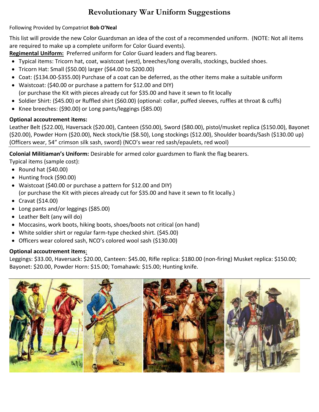# **Revolutionary War Uniform Suggestions**

#### Following Provided by Compatriot **Bob O'Neal**

This list will provide the new Color Guardsman an idea of the cost of a recommended uniform. (NOTE: Not all items are required to make up a complete uniform for Color Guard events).

**Regimental Uniform:** Preferred uniform for Color Guard leaders and flag bearers.

- Typical items: Tricorn hat, coat, waistcoat (vest), breeches/long overalls, stockings, buckled shoes.
- Tricorn Hat: Small (\$50.00) larger (\$64.00 to \$200.00)
- Coat: (\$134.00-\$355.00) Purchase of a coat can be deferred, as the other items make a suitable uniform
- Waistcoat: (\$40.00 or purchase a pattern for \$12.00 and DIY) (or purchase the Kit with pieces already cut for \$35.00 and have it sewn to fit locally
- Soldier Shirt: (\$45.00) or Ruffled shirt (\$60.00) (optional: collar, puffed sleeves, ruffles at throat & cuffs)
- Knee breeches: (\$90.00) or Long pants/leggings (\$85.00)

## **Optional accoutrement items:**

Leather Belt (\$22.00), Haversack (\$20.00), Canteen (\$50.00), Sword (\$80.00), pistol/musket replica (\$150.00), Bayonet (\$20.00), Powder Horn (\$20.00), Neck stock/tie (\$8.50), Long stockings (\$12.00), Shoulder boards/Sash (\$130.00 up) (Officers wear, 54" crimson silk sash, sword) (NCO's wear red sash/epaulets, red wool)

**Colonial Militiaman's Uniform:** Desirable for armed color guardsmen to flank the flag bearers.

- Typical items (sample cost):
- Round hat (\$40.00)
- Hunting frock (\$90.00)
- Waistcoat (\$40.00 or purchase a pattern for \$12.00 and DIY) (or purchase the Kit with pieces already cut for \$35.00 and have it sewn to fit locally.)
- Cravat (\$14.00)
- Long pants and/or leggings (\$85.00)
- Leather Belt (any will do)
- Moccasins, work boots, hiking boots, shoes/boots not critical (on hand)
- White soldier shirt or regular farm-type checked shirt. (\$45.00)
- Officers wear colored sash, NCO's colored wool sash (\$130.00)

## **Optional accoutrement items**:

Leggings: \$33.00, Haversack: \$20.00, Canteen: \$45.00, Rifle replica: \$180.00 (non-firing) Musket replica: \$150.00; Bayonet: \$20.00, Powder Horn: \$15.00; Tomahawk: \$15.00; Hunting knife.

<span id="page-1-0"></span>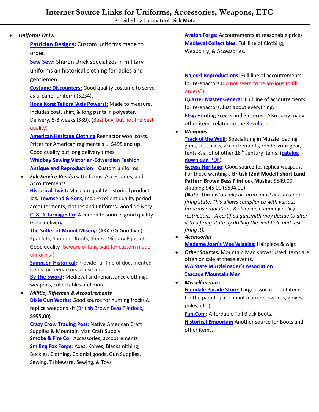#### • *Uniforms Only:*

**[Patrician Designs:](https://whidbeysewing.com/)** Custom uniforms made to order**.**

**[Sew Sew:](https://www.sharonsewsew.com/)** Sharon Urick specializes in military uniforms an historical clothing for ladies and gentlemen.

**[Costume Discounters:](https://www.costumediscounters.com/products/adult-regency-collection-red-white-and-blue-soldier-costume)** Good quality costume to serve as a loaner uniform (\$234).

**[Hong Kong Tailors \(Axis Powers\):](https://www.ebay.com/itm/Axis-Powers-APH-America-Uniform-Revolutionary-War-Cosplay-Costume/231404705906?_trkparms=aid%3D555018%26algo%3DPL.SIM%26ao%3D2%26asc%3D47300%26meid%3Da5ac7b08ee874f75a0be340255e9a329%26pid%3D100005%26rk%3D1%26rkt%3D6%26sd%3D331396594402%26itm%3D231404705906&_trksid=p2047675.c100005.m1851)** Made to measure. Includes coat, shirt, & long pants in polyester. Delivery, 5-8 weeks (\$89). (Best buy, but not the best quality)

**[American Heritage Clothing](http://www.colonialuniforms.com/)** Reenactor wool coats. Prices for American regimentals ... \$495 and up. Good quality but long delivery times **Whidbey Sewing [Victorian-Edwardian](https://www.facebook.com/Whidbeysewing/) Fashion**

**Antique and [Reproduction](https://www.facebook.com/Whidbeysewing/)** Custom uniforms

• *Full-Service Vendors:* Uniforms, Accessories, and Accoutrements

**[Historical Twist:](http://www.historicaltwiststore.com/)** Museum quality historical product. **[Jas. Townsend & Sons, Inc.](http://www.jas-townsend.com/):** Excellent quality period accouterments, clothes and uniforms. Good delivery. **[C. & D. Jarnagin Co:](http://www.jarnaginco.com/)** A complete source; good quality. Good delivery.

**[The Sutler of Mount](http://gggodwin-com.3dcartstores.com/) Misery:** (AKA GG Goodwin) Epaulets, Shoulder Knots, Shoes, Military Eqpt, etc. Good quality (Beware of long wait for custom made uniforms!)

**[Sampson Historical:](https://www.samsonhistorical.com/)** Provide full line of documented items for reenactors, museums.

**[By The Sword:](https://www.bytheswordinc.com/default.aspx)** Medieval and renaissance clothing, weapons, collectables and more

• *Militia, Riflemen & Accoutrements* **[Dixie Gun Works:](http://www.dixiegunworks.com/)** Good source for hunting frocks & replica weapons kit [\(British Brown Bess Flintlock](https://www.dixiegunworks.com/index/page/product/product_id/2029/category_id/323/category_chain/312,322,323/product_name/FR0825+Pedersoli+2nd+Model+Brown+Bess+Musket+Kit)**, \$995.00)**

**[Crazy Crow Trading Post:](http://www.crazycrow.com/)** Native American Craft Supplies & Mountain Man Craft Supply **[Smoke & Fire Co:](http://www.smoke-fire.com/)** Accessories, accoutrements **[Smiling Fox Forge:](https://smilingfoxforge.com/)** Axes, Knives, Blacksmithing, Buckles, Clothing, Colonial goods, Gun Supplies, Sewing, Tableware, Sewing, & Toys

**[Avalon Forge:](http://www.avalonforge.com/index.html)** Accoutrements at reasonable prices **[Medieval Collectibles](https://www.medievalcollectibles.com/)**: Full line of Clothing, Weaponry, & Accessories.

**[Najecki Reproductions:](http://www.najecki.com/repro/reproindex.html)** Full line of accoutrements for re-enactors (do not seem to be anxious to fill orders?)

**[Quarter Master General:](https://www.thequartermastergeneral.com/store/index.php?route=common/home)** Full line of accoutrements for re-enactors. Just about everything.

**[Etsy:](https://www.etsy.com/search?q=hunting%20frock&ref=auto1&as_prefix=hunting%20frock)** Hunting Frocks and Patterns. Also carry many other items related to the [Revolution.](https://www.etsy.com/search?q=revolutionary%20war&ref=auto-1&as_prefix=revolutionary)

• *Weapons*

**[Track of the Wolf:](https://www.trackofthewolf.com/Index.aspx)** Specializing in Muzzle loading guns, kits, parts, accoutrements, rendezvous gear, tents & a lot of other 18th century items. (**[catalog](https://www.trackofthewolf.com/Pdfs/catalog/catalog18.pdf)  [download-PDF](https://www.trackofthewolf.com/Pdfs/catalog/catalog18.pdf)**).

**[Access Heritage:](http://www.militaryheritage.com/musket7.htm)** Good source for replica weapons. For those wanting a **British (2nd Model) Short Land Pattern Brown Bess Flintlock Musket** \$549.00 + shipping \$45.00 (\$594.00)**.**

*(Note: This historically accurate musket is in a nonfiring state. This allows compliance with various firearms regulations & shipping company policy restrictions. A certified gunsmith may decide to alter it to a firing state by drilling the vent hole and test firing it).*

- *Accessories* **[Madame Joan's Wee Wiggies:](http://madamejoan.homestead.com/)** Hairpiece & wigs
- *Other Sources:* Mountain Man shows: Used items are often on sale at these events. **[WA State Muzzleloader's Association](http://www.wamuzzleloaders.com/home.html) [Cascade Mountain Men](https://www.facebook.com/Cascade-Mountain-Men-188424201194266/)**

#### • *Miscellaneous:*

**[Glendale Parade Store:](https://www.paradestore.com/)** Large assortment of items for the parade participant (carriers, swords, gloves, poles, etc.)

**[Fun.Com:](https://www.fun.com/mens-tall-black-costume-boots.html)** Affordable Tall Black Boots.

**[Historical Emporium](https://www.historicalemporium.com/store/mens-shoes-boots.php)** Another source for Boots and other items.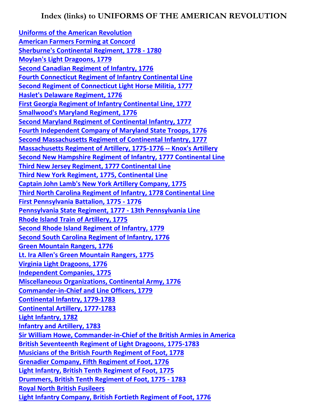<span id="page-3-0"></span>**[Uniforms of the American Revolution](http://www.srcalifornia.com/uniforms/uniforms.htm) [American Farmers Forming at Concord](http://www.srcalifornia.com/uniforms/p1.htm) [Sherburne's Continental Regiment, 1778 -](http://www.srcalifornia.com/uniforms/p2.htm) 1780 [Moylan's Light Dragoons, 1779](http://www.srcalifornia.com/uniforms/p3.htm) [Second Canadian Regiment of Infantry, 1776](http://www.srcalifornia.com/uniforms/p4.htm) [Fourth Connecticut Regiment of Infantry Continental Line](http://www.srcalifornia.com/uniforms/p5.htm) [Second Regiment of Connecticut Light Horse Militia, 1777](http://www.srcalifornia.com/uniforms/p6.htm) [Haslet's Delaware Regiment, 1776](http://www.srcalifornia.com/uniforms/p7.htm) [First Georgia Regiment of Infantry Continental Line, 1777](http://www.srcalifornia.com/uniforms/p8.htm) [Smallwood's Maryland Regiment, 1776](http://www.srcalifornia.com/uniforms/p9.htm) [Second Maryland Regiment of Continental Infantry, 1777](http://www.srcalifornia.com/uniforms/p10.htm) [Fourth Independent Company of Maryland State Troops, 1776](http://www.srcalifornia.com/uniforms/p11.htm) [Second Massachusetts Regiment of Continental Infantry, 1777](http://www.srcalifornia.com/uniforms/p12.htm) [Massachusetts Regiment of Artillery, 1775-1776 --](http://www.srcalifornia.com/uniforms/p13.htm) Knox's Artillery [Second New Hampshire Regiment of Infantry, 1777 Continental Line](http://www.srcalifornia.com/uniforms/p14.htm) [Third New Jersey Regiment, 1777 Continental Line](http://www.srcalifornia.com/uniforms/p15.htm) [Third New York Regiment, 1775, Continental Line](http://www.srcalifornia.com/uniforms/p16.htm) [Captain John Lamb's New York Artillery Company, 1775](http://www.srcalifornia.com/uniforms/p17.htm) [Third North Carolina Regiment of Infantry, 1778 Continental Line](http://www.srcalifornia.com/uniforms/p18.htm) [First Pennsylvania Battalion, 1775 -](http://www.srcalifornia.com/uniforms/p19.htm) 1776 [Pennsylvania State Regiment, 1777 -](http://www.srcalifornia.com/uniforms/p20.htm) 13th Pennsylvania Line [Rhode Island Train of Artillery, 1775](http://www.srcalifornia.com/uniforms/p21.htm) [Second Rhode Island Regiment of Infantry, 1779](http://www.srcalifornia.com/uniforms/p22.htm) [Second South Carolina Regiment of Infantry, 1776](http://www.srcalifornia.com/uniforms/p23.htm) [Green Mountain Rangers, 1776](http://www.srcalifornia.com/uniforms/p24.htm) [Lt. Ira Allen's Green Mountain Rangers, 1775](http://www.srcalifornia.com/uniforms/p25.htm) [Virginia Light Dragoons, 1776](http://www.srcalifornia.com/uniforms/p26.htm) [Independent Companies, 1775](http://www.srcalifornia.com/uniforms/r1.htm) [Miscellaneous Organizations, Continental Army, 1776](http://www.srcalifornia.com/uniforms/r2.htm) [Commander-in-Chief and Line Officers, 1779](http://www.srcalifornia.com/uniforms/r3.htm) [Continental Infantry, 1779-1783](http://www.srcalifornia.com/uniforms/r4.htm) [Continental Artillery, 1777-1783](http://www.srcalifornia.com/uniforms/r5.htm) [Light Infantry, 1782](http://www.srcalifornia.com/uniforms/r6.htm) [Infantry and Artillery, 1783](http://www.srcalifornia.com/uniforms/r7.htm) [Sir William Howe, Commander-in-Chief of the British Armies in America](http://www.srcalifornia.com/uniforms/p27.htm) [British Seventeenth Regiment of Light Dragoons, 1775-1783](http://www.srcalifornia.com/uniforms/p28.htm) [Musicians of the British Fourth Regiment of Foot, 1778](http://www.srcalifornia.com/uniforms/p29.htm) [Grenadier Company, Fifth Regiment of Foot, 1776](http://www.srcalifornia.com/uniforms/p30.htm) [Light Infantry, British Tenth Regiment of Foot, 1775](http://www.srcalifornia.com/uniforms/p31.htm) [Drummers, British Tenth Regiment of Foot, 1775 -](http://www.srcalifornia.com/uniforms/p32.htm) 1783 [Royal North British Fusileers](http://www.srcalifornia.com/uniforms/p33.htm) [Light Infantry Company, British Fortieth Regiment of Foot, 1776](http://www.srcalifornia.com/uniforms/p34.htm)**